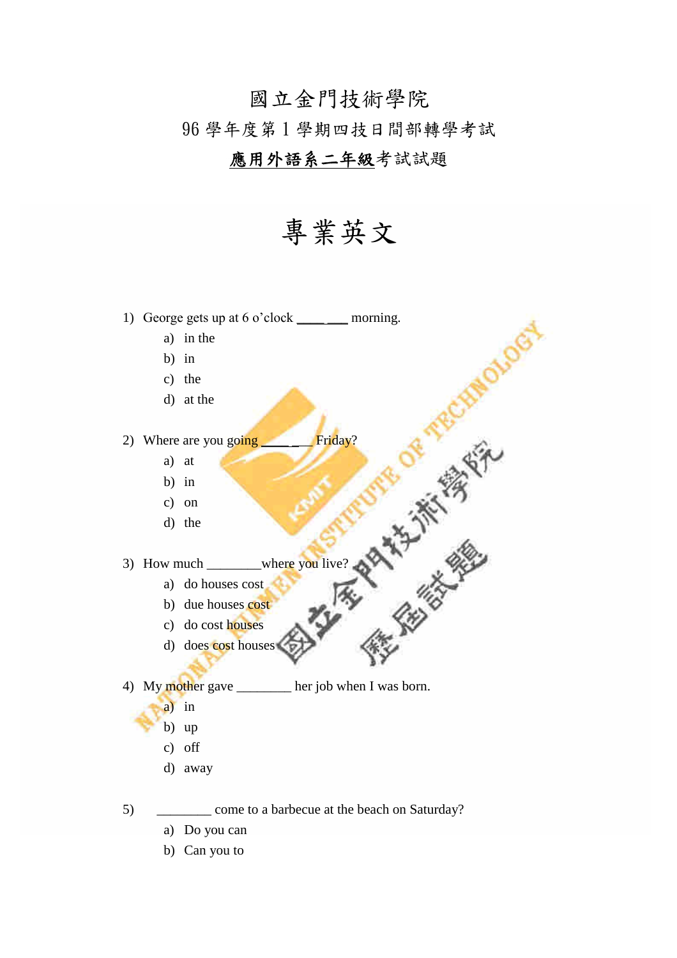# 國立金門技術學院 96 學年度第 1 學期四技日間部轉學考試

### 應用外語系二年級考試試題

## 專業英文

**PROFESSION** 

1) George gets up at  $6 \text{ o}'$ clock \_\_\_\_ \_\_\_ morning. a) in the

- b) in
- 
- c) the
- d) at the

- a) at
- b) in
- c) on
- d) the
- 2) Where are you going<br>
a) at<br>
b) in<br>
c) on<br>
d) the<br>
3) How much<br>
a) do houses cost<br>
b) due houses cost<br>
c) do cost houses<br>
d) does 3) How much \_\_\_\_\_\_\_\_where you live?
	- a) do houses cost
		- b) due houses cost
	- c) do cost houses
	- d) does cost houses

4) My mother gave \_\_\_\_\_\_\_ her job when I was born.

- a) in
- b) up
- c) off
- d) away
- 5) \_\_\_\_\_\_\_\_ come to a barbecue at the beach on Saturday?
	- a) Do you can
	- b) Can you to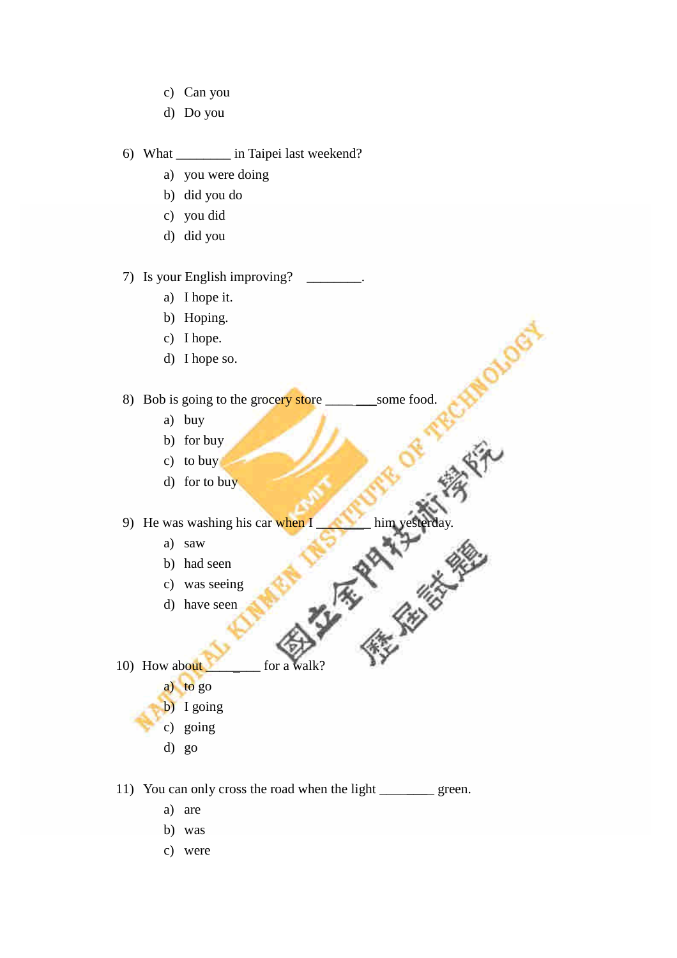- c) Can you
- d) Do you

#### 6) What \_\_\_\_\_\_\_\_ in Taipei last weekend?

- a) you were doing
- b) did you do
- c) you did
- d) did you

#### 7) Is your English improving?

- a) I hope it.
- b) Hoping.
- c) I hope.
- d) I hope so.

8) Bob is going to the grocery store \_\_\_\_\_\_\_\_\_\_\_some food.

CHA

- a) buy
- b) for buy
- c) to buy
- d) for to buy

- a) saw
- b) had seen
- c) was seeing
- d) have seen
- 9) He was washing his car when I and simply the him yesterday.<br>
a) saw b) had seen c) was seeing a part of the seen  $\mathbb{R}$ . 10) How about for a walk?
	- a) to go
	- b) I going
	- c) going
	- d) go

11) You can only cross the road when the light \_\_\_\_\_\_\_\_ green.

- a) are
- b) was
- c) were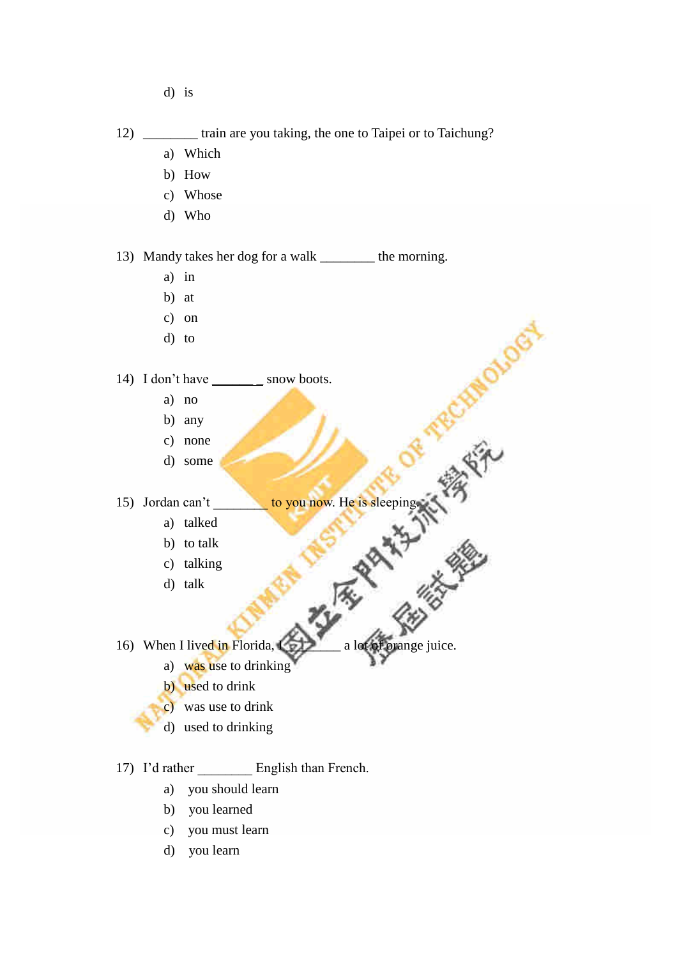- d) is
- 12) \_\_\_\_\_\_\_\_ train are you taking, the one to Taipei or to Taichung?
	- a) Which
	- b) How
	- c) Whose
	- d) Who

13) Mandy takes her dog for a walk \_\_\_\_\_\_\_\_ the morning.

- a) in
- b) at
- c) on
- d) to

#### 14) I don't have \_\_\_\_\_\_\_ \_ snow boots.

- a) no
- b) any
- c) none
- d) some

15) Jordan can't<br>
a) talked<br>
b) to talk<br>
c) talking<br>
d) talk

RCHIP

- a) talked
- b) to talk
- c) talking
- d) talk

16) When I lived in Florida,  $\sum$  a lot of orange juice.

- a) was use to drinking
- b) used to drink
- c) was use to drink
- d) used to drinking

17) I'd rather English than French.

- a) you should learn
- b) you learned
- c) you must learn
- d) you learn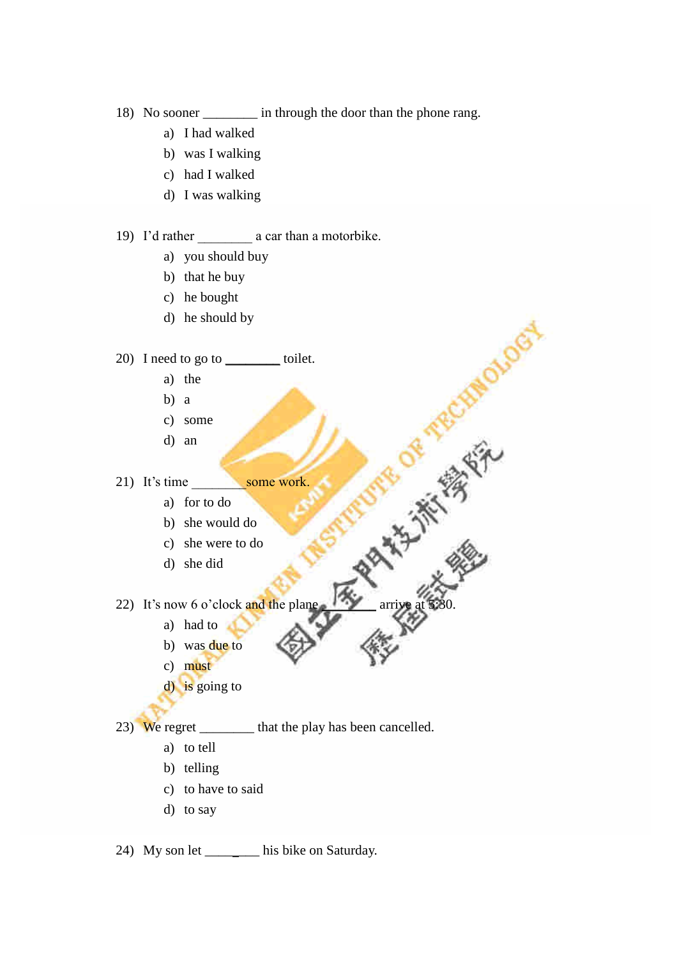18) No sooner \_\_\_\_\_\_\_\_ in through the door than the phone rang.

**TRECHT** 

**HALLAS** 

- a) I had walked
- b) was I walking
- c) had I walked
- d) I was walking

19) I'drather\_\_\_\_\_\_\_\_acarthanamotorbike.

- a) you should buy
- b) that he buy
- c) he bought
- d) he should by

#### 20) I need to go to \_\_\_\_\_\_\_\_ toilet.

- a) the
- b) a
- c) some
- d) an

21) It's time some work

- a) for to do
	- b) she would do
	- c) she were to do
	- d) she did
- 22) It's now  $6$  o'clock and the plane
	- a) had to
	- b) was due to
	- c) must
	- d) is going to

23) We regret hat the play has been cancelled.

- a) to tell
- b) telling
- c) to have to said
- d) to say

24) My son let \_\_\_\_\_\_\_\_ his bike on Saturday.